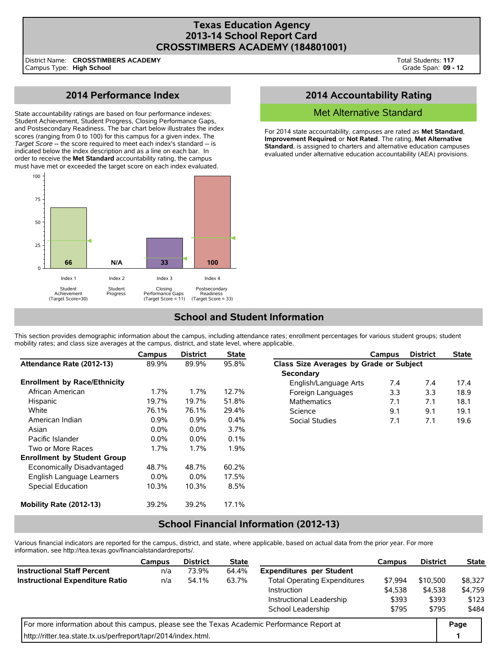## **Texas Education Agency 2013-14 School Report Card CROSSTIMBERS ACADEMY (184801001)**

District Name: Campus Type: **High School CROSSTIMBERS ACADEMY**

# **2014 Performance Index**

State accountability ratings are based on four performance indexes: Student Achievement, Student Progress, Closing Performance Gaps, and Postsecondary Readiness. The bar chart below illustrates the index scores (ranging from 0 to 100) for this campus for a given index. The *Target Score* -- the score required to meet each index's standard -- is indicated below the index description and as a line on each bar. In order to receive the **Met Standard** accountability rating, the campus must have met or exceeded the target score on each index evaluated.



## **2014 Accountability Rating**

### Met Alternative Standard

For 2014 state accountability, campuses are rated as **Met Standard**, **Improvement Required**, or **Not Rated**. The rating, **Met Alternative Standard**, is assigned to charters and alternative education campuses evaluated under alternative education accountability (AEA) provisions.

# **School and Student Information**

This section provides demographic information about the campus, including attendance rates; enrollment percentages for various student groups; student mobility rates; and class size averages at the campus, district, and state level, where applicable.

|                                     | Campus  | <b>District</b> | <b>State</b> |                                         | Campus | <b>District</b> | <b>State</b> |  |
|-------------------------------------|---------|-----------------|--------------|-----------------------------------------|--------|-----------------|--------------|--|
| Attendance Rate (2012-13)           | 89.9%   | 89.9%           | 95.8%        | Class Size Averages by Grade or Subject |        |                 |              |  |
|                                     |         |                 |              | Secondary                               |        |                 |              |  |
| <b>Enrollment by Race/Ethnicity</b> |         |                 |              | English/Language Arts                   | 7.4    | 7.4             | 17.4         |  |
| African American                    | $1.7\%$ | 1.7%            | 12.7%        | Foreign Languages                       | 3.3    | 3.3             | 18.9         |  |
| Hispanic                            | 19.7%   | 19.7%           | 51.8%        | <b>Mathematics</b>                      | 7.1    | 7.1             | 18.1         |  |
| White                               | 76.1%   | 76.1%           | 29.4%        | Science                                 | 9.1    | 9.1             | 19.1         |  |
| American Indian                     | 0.9%    | 0.9%            | 0.4%         | Social Studies                          | 7.1    | 7.1             | 19.6         |  |
| Asian                               | $0.0\%$ | 0.0%            | $3.7\%$      |                                         |        |                 |              |  |
| Pacific Islander                    | $0.0\%$ | 0.0%            | $0.1\%$      |                                         |        |                 |              |  |
| Two or More Races                   | $1.7\%$ | 1.7%            | $1.9\%$      |                                         |        |                 |              |  |
| <b>Enrollment by Student Group</b>  |         |                 |              |                                         |        |                 |              |  |
| Economically Disadvantaged          | 48.7%   | 48.7%           | 60.2%        |                                         |        |                 |              |  |
| English Language Learners           | $0.0\%$ | $0.0\%$         | 17.5%        |                                         |        |                 |              |  |
| <b>Special Education</b>            | 10.3%   | 10.3%           | 8.5%         |                                         |        |                 |              |  |
| Mobility Rate (2012-13)             | 39.2%   | 39.2%           | 17.1%        |                                         |        |                 |              |  |

## **School Financial Information (2012-13)**

Various financial indicators are reported for the campus, district, and state, where applicable, based on actual data from the prior year. For more information, see http://tea.texas.gov/financialstandardreports/.

|                                                                                             | Campus | <b>District</b> | <b>State</b> |                                     | Campus  | <b>District</b> | <b>State</b> |
|---------------------------------------------------------------------------------------------|--------|-----------------|--------------|-------------------------------------|---------|-----------------|--------------|
| <b>Instructional Staff Percent</b>                                                          | n/a    | 73.9%           | 64.4%        | <b>Expenditures per Student</b>     |         |                 |              |
| <b>Instructional Expenditure Ratio</b>                                                      | n/a    | 54.1%           | 63.7%        | <b>Total Operating Expenditures</b> | \$7.994 | \$10,500        | \$8.327      |
|                                                                                             |        |                 |              | Instruction                         | \$4,538 | \$4.538         | \$4,759      |
|                                                                                             |        |                 |              | Instructional Leadership            | \$393   | \$393           | \$123        |
|                                                                                             |        |                 |              | School Leadership                   | \$795   | \$795           | \$484        |
| For more information about this campus, please see the Texas Academic Performance Report at |        |                 |              |                                     |         |                 |              |
| http://ritter.tea.state.tx.us/perfreport/tapr/2014/index.html.                              |        |                 |              |                                     |         |                 |              |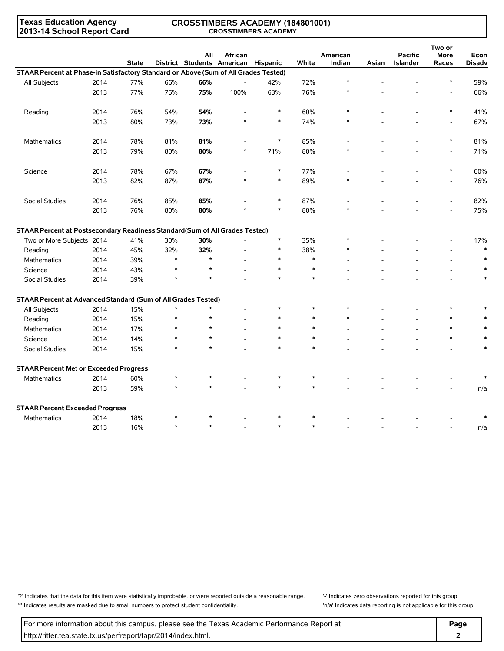**Texas Education Agency 2013-14 School Report Card**

#### **CROSSTIMBERS ACADEMY (184801001) CROSSTIMBERS ACADEMY**

|                                                                                     |      |              |        | All     | African                             |        |        | American |       | <b>Pacific</b> | Two or<br>More | Econ          |
|-------------------------------------------------------------------------------------|------|--------------|--------|---------|-------------------------------------|--------|--------|----------|-------|----------------|----------------|---------------|
|                                                                                     |      | <b>State</b> |        |         | District Students American Hispanic |        | White  | Indian   | Asian | Islander       | Races          | <b>Disadv</b> |
| STAAR Percent at Phase-in Satisfactory Standard or Above (Sum of All Grades Tested) |      |              |        |         |                                     |        |        | $\ast$   |       |                |                |               |
| All Subjects                                                                        | 2014 | 77%          | 66%    | 66%     | $\overline{\phantom{a}}$            | 42%    | 72%    |          |       |                | *              | 59%           |
|                                                                                     | 2013 | 77%          | 75%    | 75%     | 100%                                | 63%    | 76%    | $\ast$   |       |                |                | 66%           |
| Reading                                                                             | 2014 | 76%          | 54%    | 54%     | $\overline{a}$                      | $\ast$ | 60%    |          |       |                | $\ast$         | 41%           |
|                                                                                     | 2013 | 80%          | 73%    | 73%     |                                     | $\ast$ | 74%    |          |       |                |                | 67%           |
| Mathematics                                                                         | 2014 | 78%          | 81%    | 81%     |                                     | $\ast$ | 85%    |          |       |                | $\ast$         | 81%           |
|                                                                                     | 2013 | 79%          | 80%    | 80%     | $\ast$                              | 71%    | 80%    |          |       |                |                | 71%           |
| Science                                                                             | 2014 | 78%          | 67%    | 67%     |                                     | $\ast$ | 77%    |          |       |                | $\ast$         | 60%           |
|                                                                                     | 2013 | 82%          | 87%    | 87%     | $\ast$                              | $\ast$ | 89%    |          |       |                |                | 76%           |
| Social Studies                                                                      | 2014 | 76%          | 85%    | 85%     |                                     | $\ast$ | 87%    |          |       |                | $\overline{a}$ | 82%           |
|                                                                                     | 2013 | 76%          | 80%    | 80%     |                                     | $\ast$ | 80%    |          |       |                |                | 75%           |
| STAAR Percent at Postsecondary Readiness Standard(Sum of All Grades Tested)         |      |              |        |         |                                     |        |        |          |       |                |                |               |
| Two or More Subjects 2014                                                           |      | 41%          | 30%    | 30%     |                                     | $\ast$ | 35%    |          |       |                |                | 17%           |
| Reading                                                                             | 2014 | 45%          | 32%    | 32%     |                                     | $\ast$ | 38%    | $\ast$   |       |                | $\overline{a}$ | $\ast$        |
| Mathematics                                                                         | 2014 | 39%          | $\ast$ | $\star$ |                                     | $\ast$ | $\ast$ |          |       |                | $\overline{a}$ |               |
| Science                                                                             | 2014 | 43%          | $\ast$ | $\star$ |                                     | $\ast$ | $\ast$ |          |       |                | $\overline{a}$ |               |
| Social Studies                                                                      | 2014 | 39%          | $\ast$ | $\star$ |                                     |        | $\ast$ |          |       |                |                |               |
| STAAR Percent at Advanced Standard (Sum of All Grades Tested)                       |      |              |        |         |                                     |        |        |          |       |                |                |               |
| All Subjects                                                                        | 2014 | 15%          | $\ast$ | $\star$ |                                     | $\ast$ | $\ast$ |          |       |                | $\ast$         |               |
| Reading                                                                             | 2014 | 15%          | $\ast$ | $\star$ |                                     | $\ast$ | $\ast$ | $\ast$   |       |                | $\ast$         |               |
| Mathematics                                                                         | 2014 | 17%          |        | $\star$ |                                     | $\ast$ | $\ast$ |          |       |                | $\ast$         |               |
| Science                                                                             | 2014 | 14%          | $\ast$ | $\star$ |                                     | $\ast$ | $\ast$ |          |       |                | $\ast$         |               |
| Social Studies                                                                      | 2014 | 15%          | $\ast$ |         |                                     | $\ast$ | $\ast$ |          |       |                |                |               |
| <b>STAAR Percent Met or Exceeded Progress</b>                                       |      |              |        |         |                                     |        |        |          |       |                |                |               |
| <b>Mathematics</b>                                                                  | 2014 | 60%          |        |         |                                     |        | $\ast$ |          |       |                |                |               |
|                                                                                     | 2013 | 59%          |        |         |                                     |        | $\ast$ |          |       |                |                | n/a           |
| <b>STAAR Percent Exceeded Progress</b>                                              |      |              |        |         |                                     |        |        |          |       |                |                |               |
| <b>Mathematics</b>                                                                  | 2014 | 18%          | $\ast$ | $\star$ |                                     | $\ast$ | $\ast$ |          |       |                |                |               |
|                                                                                     | 2013 | 16%          | $\ast$ | $\star$ |                                     | $\ast$ | $\ast$ |          |       |                |                | n/a           |

'?' Indicates that the data for this item were statistically improbable, or were reported outside a reasonable range. '' Indicates zero observations reported for this group. '\*' Indicates results are masked due to small numbers to protect student confidentiality. 'n/a' Indicates data reporting is not applicable for this group.

For more information about this campus, please see the Texas Academic Performance Report at **Page Page** http://ritter.tea.state.tx.us/perfreport/tapr/2014/index.html. **2**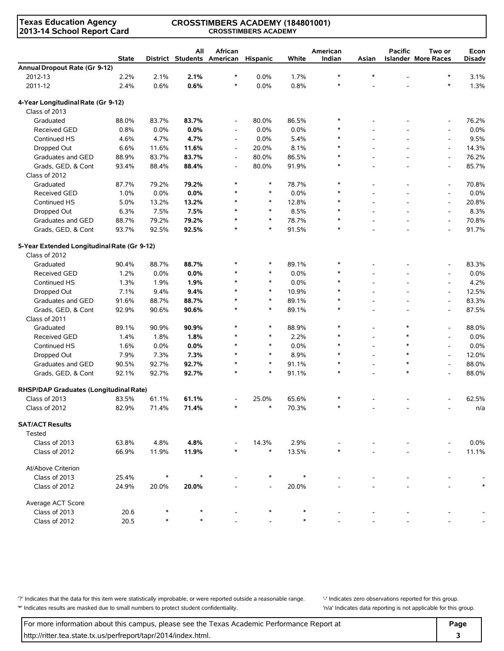### **Texas Education Agency 2013-14 School Report Card**

#### **CROSSTIMBERS ACADEMY (184801001) CROSSTIMBERS ACADEMY**

|                                             | <b>State</b> |        | All   | African<br>District Students American Hispanic |         | White | American<br>Indian | Asian          | <b>Pacific</b> | Two or<br><b>Islander More Races</b> | Econ<br><b>Disadv</b> |
|---------------------------------------------|--------------|--------|-------|------------------------------------------------|---------|-------|--------------------|----------------|----------------|--------------------------------------|-----------------------|
| Annual Dropout Rate (Gr 9-12)               |              |        |       |                                                |         |       |                    |                |                |                                      |                       |
| 2012-13                                     | 2.2%         | 2.1%   | 2.1%  | $\ast$                                         | $0.0\%$ | 1.7%  | $\ast$             | $\ast$         |                | $\ast$                               | 3.1%                  |
| 2011-12                                     | 2.4%         | 0.6%   | 0.6%  | $\ast$                                         | 0.0%    | 0.8%  | $\ast$             |                |                | $\ast$                               | 1.3%                  |
| 4-Year Longitudinal Rate (Gr 9-12)          |              |        |       |                                                |         |       |                    |                |                |                                      |                       |
| Class of 2013                               |              |        |       |                                                |         |       |                    |                |                |                                      |                       |
| Graduated                                   | 88.0%        | 83.7%  | 83.7% | $\overline{\phantom{a}}$                       | 80.0%   | 86.5% | $\ast$             |                |                | $\overline{\phantom{a}}$             | 76.2%                 |
| <b>Received GED</b>                         | 0.8%         | 0.0%   | 0.0%  | $\overline{\phantom{a}}$                       | 0.0%    | 0.0%  |                    |                |                | $\overline{\phantom{a}}$             | 0.0%                  |
| Continued HS                                | 4.6%         | 4.7%   | 4.7%  | $\overline{\phantom{a}}$                       | 0.0%    | 5.4%  | $\ast$             |                |                | $\overline{\phantom{a}}$             | 9.5%                  |
| Dropped Out                                 | 6.6%         | 11.6%  | 11.6% | $\overline{\phantom{a}}$                       | 20.0%   | 8.1%  | $\ast$             |                |                | $\overline{\phantom{a}}$             | 14.3%                 |
| Graduates and GED                           | 88.9%        | 83.7%  | 83.7% | $\overline{\phantom{a}}$                       | 80.0%   | 86.5% | $\ast$             |                |                | $\overline{\phantom{a}}$             | 76.2%                 |
| Grads, GED, & Cont                          | 93.4%        | 88.4%  | 88.4% | $\overline{\phantom{a}}$                       | 80.0%   | 91.9% | $\ast$             |                |                | $\overline{\phantom{a}}$             | 85.7%                 |
| Class of 2012                               |              |        |       |                                                |         |       |                    |                |                |                                      |                       |
| Graduated                                   | 87.7%        | 79.2%  | 79.2% | $\ast$                                         | $\ast$  | 78.7% | $\ast$             |                |                | $\overline{\phantom{a}}$             | 70.8%                 |
| <b>Received GED</b>                         | 1.0%         | 0.0%   | 0.0%  | $\ast$                                         | $\ast$  | 0.0%  | $\ast$             |                |                | $\overline{\phantom{a}}$             | 0.0%                  |
| Continued HS                                | 5.0%         | 13.2%  | 13.2% | $\ast$                                         | $\ast$  | 12.8% | $\ast$             |                |                | $\overline{\phantom{a}}$             | 20.8%                 |
| Dropped Out                                 | 6.3%         | 7.5%   | 7.5%  | $\ast$                                         | $\ast$  | 8.5%  | $\ast$             |                |                | $\overline{a}$                       | 8.3%                  |
| Graduates and GED                           | 88.7%        | 79.2%  | 79.2% | $\ast$                                         | $\ast$  | 78.7% | $\ast$             |                |                | $\blacksquare$                       | 70.8%                 |
| Grads, GED, & Cont                          | 93.7%        | 92.5%  | 92.5% | $\ast$                                         | $\ast$  | 91.5% | $\ast$             |                |                | $\overline{\phantom{a}}$             | 91.7%                 |
| 5-Year Extended Longitudinal Rate (Gr 9-12) |              |        |       |                                                |         |       |                    |                |                |                                      |                       |
| Class of 2012                               |              |        |       |                                                |         |       |                    |                |                |                                      |                       |
| Graduated                                   | 90.4%        | 88.7%  | 88.7% | $\ast$                                         | $\ast$  | 89.1% | $\ast$             |                |                |                                      | 83.3%                 |
| <b>Received GED</b>                         | 1.2%         | 0.0%   | 0.0%  | $\ast$                                         | $\ast$  | 0.0%  | $\ast$             |                |                | $\overline{\phantom{a}}$             | 0.0%                  |
| Continued HS                                | 1.3%         | 1.9%   | 1.9%  | $\ast$                                         | $\ast$  | 0.0%  | *                  |                |                | $\overline{\phantom{a}}$             | 4.2%                  |
| Dropped Out                                 | 7.1%         | 9.4%   | 9.4%  | $\ast$                                         | $\ast$  | 10.9% | $\ast$             |                |                | $\overline{\phantom{a}}$             | 12.5%                 |
| Graduates and GED                           | 91.6%        | 88.7%  | 88.7% | $\ast$                                         | $\ast$  | 89.1% | $\ast$             |                |                | $\overline{a}$                       | 83.3%                 |
| Grads, GED, & Cont                          | 92.9%        | 90.6%  | 90.6% | $\ast$                                         | $\ast$  | 89.1% | $\ast$             |                |                | $\overline{\phantom{a}}$             | 87.5%                 |
| Class of 2011                               |              |        |       |                                                |         |       |                    |                |                |                                      |                       |
| Graduated                                   | 89.1%        | 90.9%  | 90.9% | $\ast$                                         | $\ast$  | 88.9% | $\ast$             |                | $\ast$         | $\overline{\phantom{a}}$             | 88.0%                 |
| <b>Received GED</b>                         | 1.4%         | 1.8%   | 1.8%  |                                                | $\ast$  | 2.2%  | $\ast$             |                |                | $\overline{\phantom{a}}$             | 0.0%                  |
| Continued HS                                | 1.6%         | 0.0%   | 0.0%  | $\ast$                                         | $\ast$  | 0.0%  | $\ast$             |                |                | $\overline{a}$                       | 0.0%                  |
| Dropped Out                                 | 7.9%         | 7.3%   | 7.3%  | $\ast$                                         | $\ast$  | 8.9%  | $\ast$             | $\overline{a}$ | $\ast$         | $\overline{\phantom{a}}$             | 12.0%                 |
| Graduates and GED                           | 90.5%        | 92.7%  | 92.7% | $\ast$                                         | $\ast$  | 91.1% | $\ast$             | $\overline{a}$ | $\ast$         | $\overline{\phantom{a}}$             | 88.0%                 |
| Grads, GED, & Cont                          | 92.1%        | 92.7%  | 92.7% | $\ast$                                         | $\ast$  | 91.1% | $\ast$             |                | $\ast$         | $\overline{a}$                       | 88.0%                 |
| RHSP/DAP Graduates (Longitudinal Rate)      |              |        |       |                                                |         |       |                    |                |                |                                      |                       |
| Class of 2013                               | 83.5%        | 61.1%  | 61.1% |                                                | 25.0%   | 65.6% | ∗                  |                |                |                                      | 62.5%                 |
| Class of 2012                               | 82.9%        | 71.4%  | 71.4% | $\ast$                                         | $\ast$  | 70.3% | ∗                  |                |                |                                      | n/a                   |
| <b>SAT/ACT Results</b><br>Tested            |              |        |       |                                                |         |       |                    |                |                |                                      |                       |
| Class of 2013                               | 63.8%        | 4.8%   | 4.8%  |                                                | 14.3%   | 2.9%  |                    |                |                |                                      | 0.0%                  |
| Class of 2012                               | 66.9%        | 11.9%  | 11.9% |                                                | $\ast$  | 13.5% |                    |                |                |                                      | 11.1%                 |
| At/Above Criterion                          |              |        |       |                                                |         |       |                    |                |                |                                      |                       |
| Class of 2013                               | 25.4%        | $\ast$ |       |                                                |         |       |                    |                |                |                                      |                       |
| Class of 2012                               | 24.9%        | 20.0%  | 20.0% |                                                |         | 20.0% |                    |                |                |                                      |                       |
| Average ACT Score                           |              |        |       |                                                |         |       |                    |                |                |                                      |                       |
| Class of 2013                               | 20.6         |        |       |                                                |         |       |                    |                |                |                                      |                       |
| Class of 2012                               | 20.5         |        |       |                                                |         |       |                    |                |                |                                      |                       |

'?' Indicates that the data for this item were statistically improbable, or were reported outside a reasonable range. | locates zero observations reported for this group. '\*' Indicates results are masked due to small numbers to protect student confidentiality. 'n/a' Indicates data reporting is not applicable for this group.

For more information about this campus, please see the Texas Academic Performance Report at **Page Page** http://ritter.tea.state.tx.us/perfreport/tapr/2014/index.html. **3**